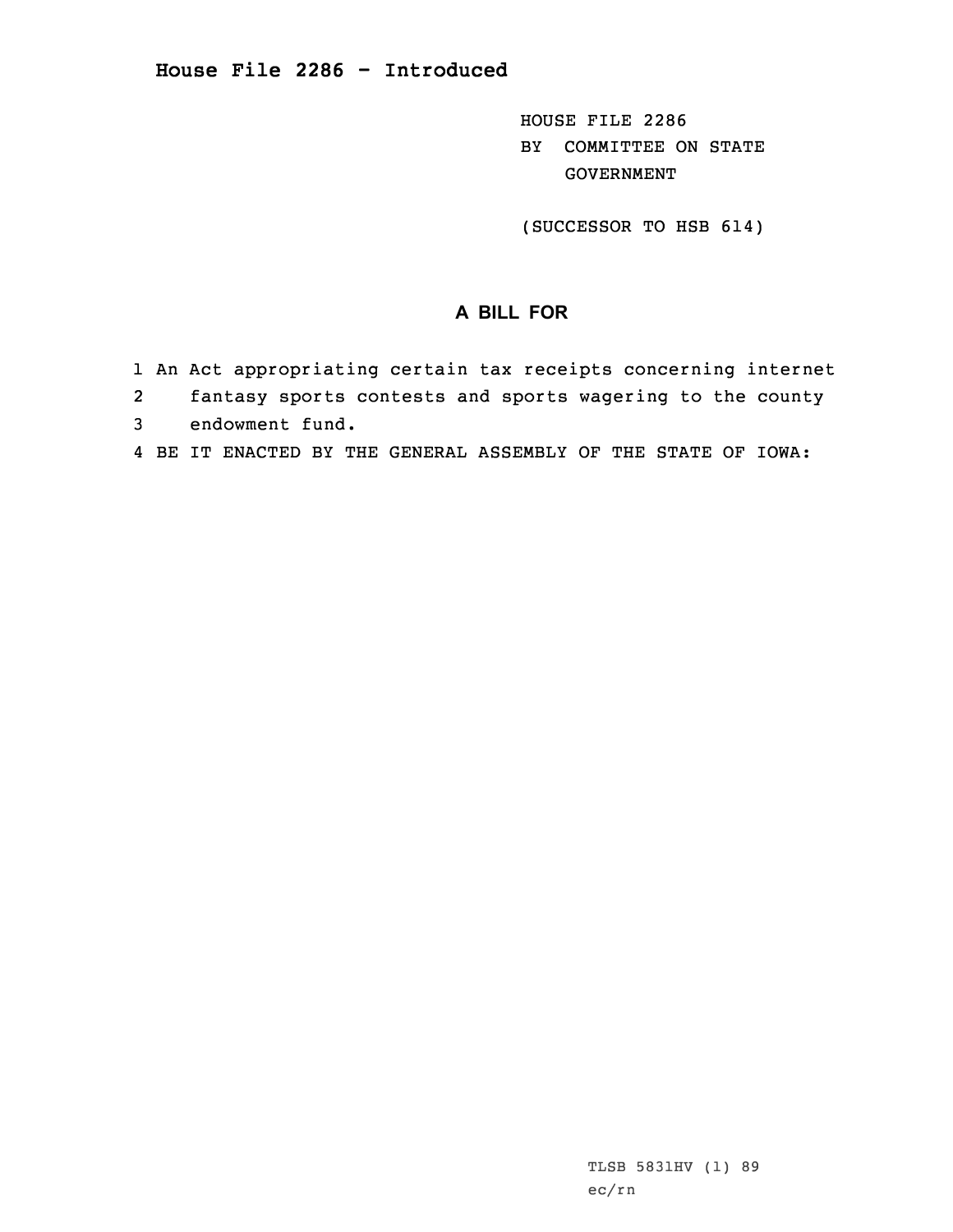HOUSE FILE 2286 BY COMMITTEE ON STATE GOVERNMENT

(SUCCESSOR TO HSB 614)

## **A BILL FOR**

- 1 An Act appropriating certain tax receipts concerning internet
- 2fantasy sports contests and sports wagering to the county
- 3 endowment fund.
- 4 BE IT ENACTED BY THE GENERAL ASSEMBLY OF THE STATE OF IOWA: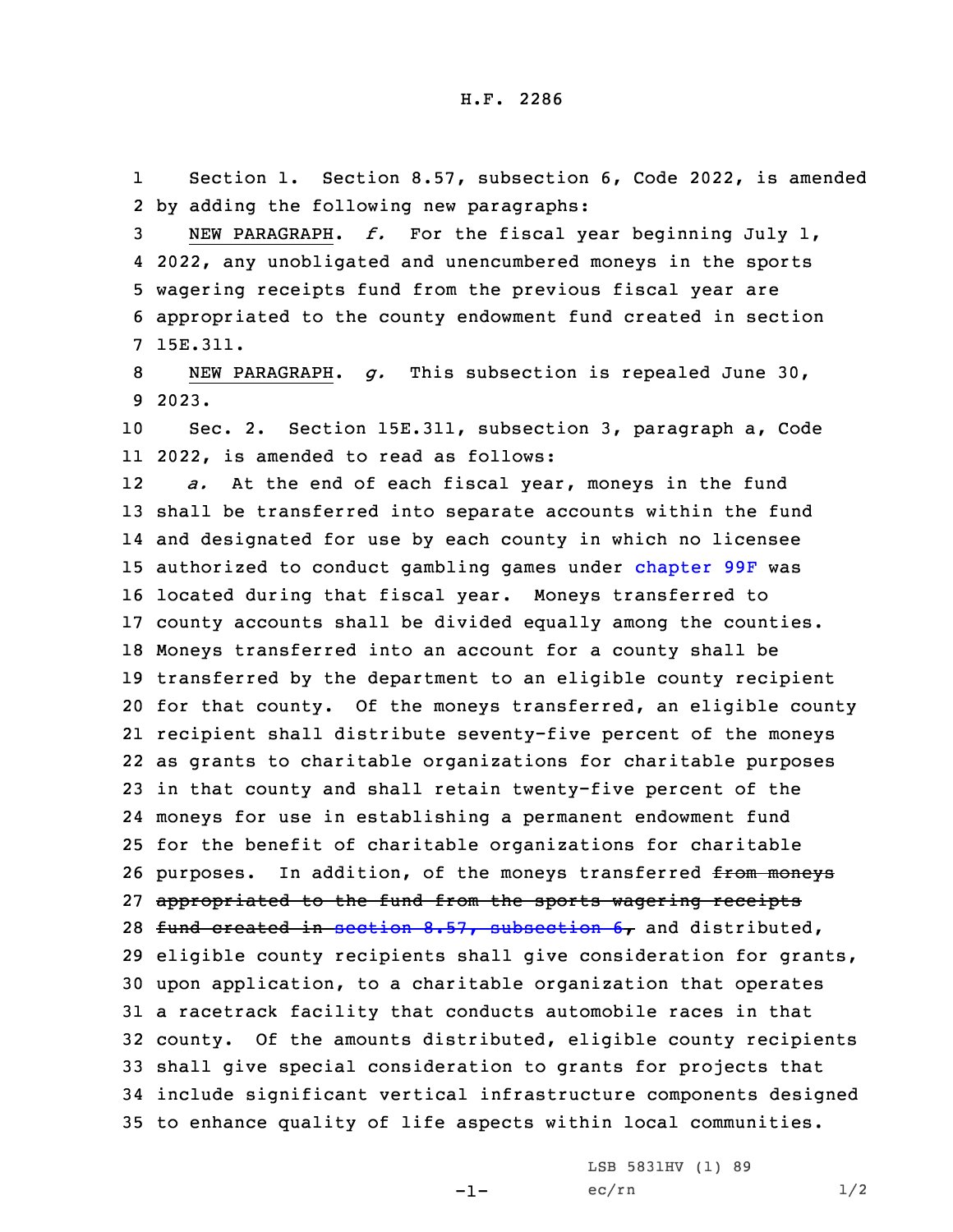1 Section 1. Section 8.57, subsection 6, Code 2022, is amended 2 by adding the following new paragraphs:

 NEW PARAGRAPH. *f.* For the fiscal year beginning July 1, 2022, any unobligated and unencumbered moneys in the sports wagering receipts fund from the previous fiscal year are appropriated to the county endowment fund created in section 7 15E.311.

8 NEW PARAGRAPH. *g.* This subsection is repealed June 30, 9 2023.

10 Sec. 2. Section 15E.311, subsection 3, paragraph a, Code 11 2022, is amended to read as follows:

12 *a.* At the end of each fiscal year, moneys in the fund shall be transferred into separate accounts within the fund and designated for use by each county in which no licensee authorized to conduct gambling games under [chapter](https://www.legis.iowa.gov/docs/code/2022/99F.pdf) 99F was located during that fiscal year. Moneys transferred to county accounts shall be divided equally among the counties. Moneys transferred into an account for <sup>a</sup> county shall be transferred by the department to an eligible county recipient for that county. Of the moneys transferred, an eligible county recipient shall distribute seventy-five percent of the moneys as grants to charitable organizations for charitable purposes in that county and shall retain twenty-five percent of the moneys for use in establishing <sup>a</sup> permanent endowment fund for the benefit of charitable organizations for charitable 26 purposes. In addition, of the moneys transferred from moneys appropriated to the fund from the sports wagering receipts 28 fund created in section  $8.57$ , [subsection](https://www.legis.iowa.gov/docs/code/2022/8.57.pdf)  $6$ , and distributed, eligible county recipients shall give consideration for grants, upon application, to <sup>a</sup> charitable organization that operates <sup>a</sup> racetrack facility that conducts automobile races in that county. Of the amounts distributed, eligible county recipients shall give special consideration to grants for projects that include significant vertical infrastructure components designed to enhance quality of life aspects within local communities.

-1-

LSB 5831HV (1) 89  $ec/rn$   $1/2$